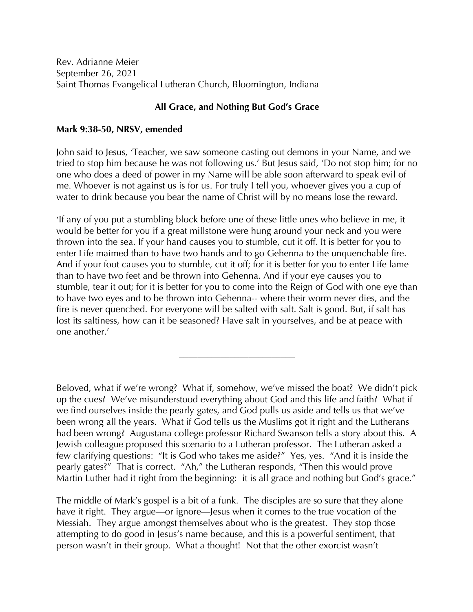Rev. Adrianne Meier September 26, 2021 Saint Thomas Evangelical Lutheran Church, Bloomington, Indiana

## **All Grace, and Nothing But God's Grace**

## **Mark 9:38-50, NRSV, emended**

John said to Jesus, 'Teacher, we saw someone casting out demons in your Name, and we tried to stop him because he was not following us.' But Jesus said, 'Do not stop him; for no one who does a deed of power in my Name will be able soon afterward to speak evil of me. Whoever is not against us is for us. For truly I tell you, whoever gives you a cup of water to drink because you bear the name of Christ will by no means lose the reward.

'If any of you put a stumbling block before one of these little ones who believe in me, it would be better for you if a great millstone were hung around your neck and you were thrown into the sea. If your hand causes you to stumble, cut it off. It is better for you to enter Life maimed than to have two hands and to go Gehenna to the unquenchable fire. And if your foot causes you to stumble, cut it off; for it is better for you to enter Life lame than to have two feet and be thrown into Gehenna. And if your eye causes you to stumble, tear it out; for it is better for you to come into the Reign of God with one eye than to have two eyes and to be thrown into Gehenna-- where their worm never dies, and the fire is never quenched. For everyone will be salted with salt. Salt is good. But, if salt has lost its saltiness, how can it be seasoned? Have salt in yourselves, and be at peace with one another.'

**\_\_\_\_\_\_\_\_\_\_\_\_\_\_\_\_\_\_\_\_\_\_\_\_\_**

Beloved, what if we're wrong? What if, somehow, we've missed the boat? We didn't pick up the cues? We've misunderstood everything about God and this life and faith? What if we find ourselves inside the pearly gates, and God pulls us aside and tells us that we've been wrong all the years. What if God tells us the Muslims got it right and the Lutherans had been wrong? Augustana college professor Richard Swanson tells a story about this. A Jewish colleague proposed this scenario to a Lutheran professor. The Lutheran asked a few clarifying questions: "It is God who takes me aside?" Yes, yes. "And it is inside the pearly gates?" That is correct. "Ah," the Lutheran responds, "Then this would prove Martin Luther had it right from the beginning: it is all grace and nothing but God's grace."

The middle of Mark's gospel is a bit of a funk. The disciples are so sure that they alone have it right. They argue—or ignore—Jesus when it comes to the true vocation of the Messiah. They argue amongst themselves about who is the greatest. They stop those attempting to do good in Jesus's name because, and this is a powerful sentiment, that person wasn't in their group. What a thought! Not that the other exorcist wasn't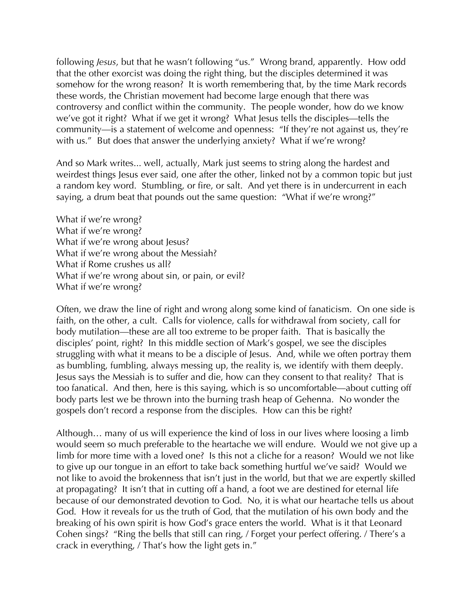following *Jesus*, but that he wasn't following "us." Wrong brand, apparently. How odd that the other exorcist was doing the right thing, but the disciples determined it was somehow for the wrong reason? It is worth remembering that, by the time Mark records these words, the Christian movement had become large enough that there was controversy and conflict within the community. The people wonder, how do we know we've got it right? What if we get it wrong? What Jesus tells the disciples—tells the community—is a statement of welcome and openness: "If they're not against us, they're with us." But does that answer the underlying anxiety? What if we're wrong?

And so Mark writes... well, actually, Mark just seems to string along the hardest and weirdest things Jesus ever said, one after the other, linked not by a common topic but just a random key word. Stumbling, or fire, or salt. And yet there is in undercurrent in each saying, a drum beat that pounds out the same question: "What if we're wrong?"

What if we're wrong? What if we're wrong? What if we're wrong about Jesus? What if we're wrong about the Messiah? What if Rome crushes us all? What if we're wrong about sin, or pain, or evil? What if we're wrong?

Often, we draw the line of right and wrong along some kind of fanaticism. On one side is faith, on the other, a cult. Calls for violence, calls for withdrawal from society, call for body mutilation—these are all too extreme to be proper faith. That is basically the disciples' point, right? In this middle section of Mark's gospel, we see the disciples struggling with what it means to be a disciple of Jesus. And, while we often portray them as bumbling, fumbling, always messing up, the reality is, we identify with them deeply. Jesus says the Messiah is to suffer and die, how can they consent to that reality? That is too fanatical. And then, here is this saying, which is so uncomfortable—about cutting off body parts lest we be thrown into the burning trash heap of Gehenna. No wonder the gospels don't record a response from the disciples. How can this be right?

Although… many of us will experience the kind of loss in our lives where loosing a limb would seem so much preferable to the heartache we will endure. Would we not give up a limb for more time with a loved one? Is this not a cliche for a reason? Would we not like to give up our tongue in an effort to take back something hurtful we've said? Would we not like to avoid the brokenness that isn't just in the world, but that we are expertly skilled at propagating? It isn't that in cutting off a hand, a foot we are destined for eternal life because of our demonstrated devotion to God. No, it is what our heartache tells us about God. How it reveals for us the truth of God, that the mutilation of his own body and the breaking of his own spirit is how God's grace enters the world. What is it that Leonard Cohen sings? "Ring the bells that still can ring, / Forget your perfect offering. / There's a crack in everything, / That's how the light gets in."